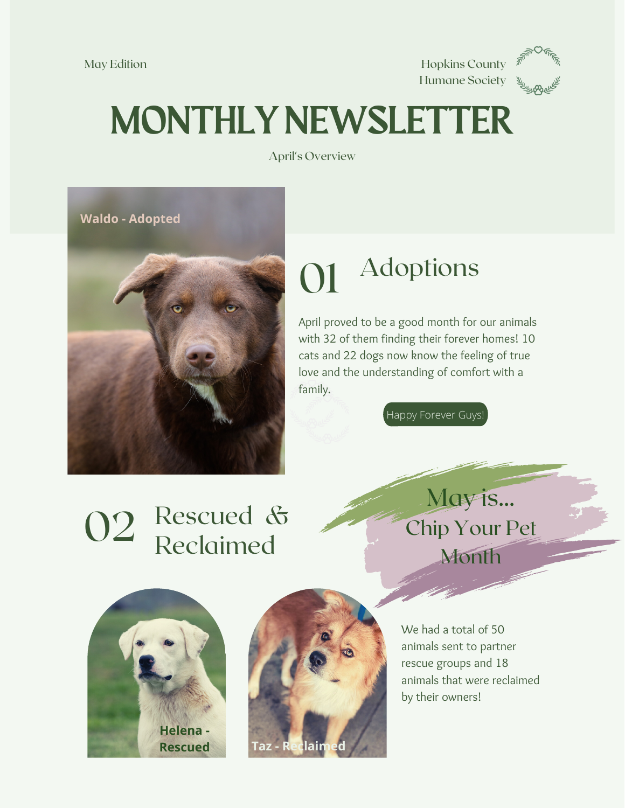

## MONTHLY NEWSLETTER

April's Overview



#### 01 Adoptions

April proved to be a good month for our animals with 32 of them finding their forever homes! 10 cats and 22 dogs now know the feeling of true love and the understanding of comfort with a family.

Happy Forever Guys!

### 02 Rescued & Reclaimed

May is... Chip Your Pet Month





We had a total of 50 animals sent to partner rescue groups and 18 animals that were reclaimed by their owners!